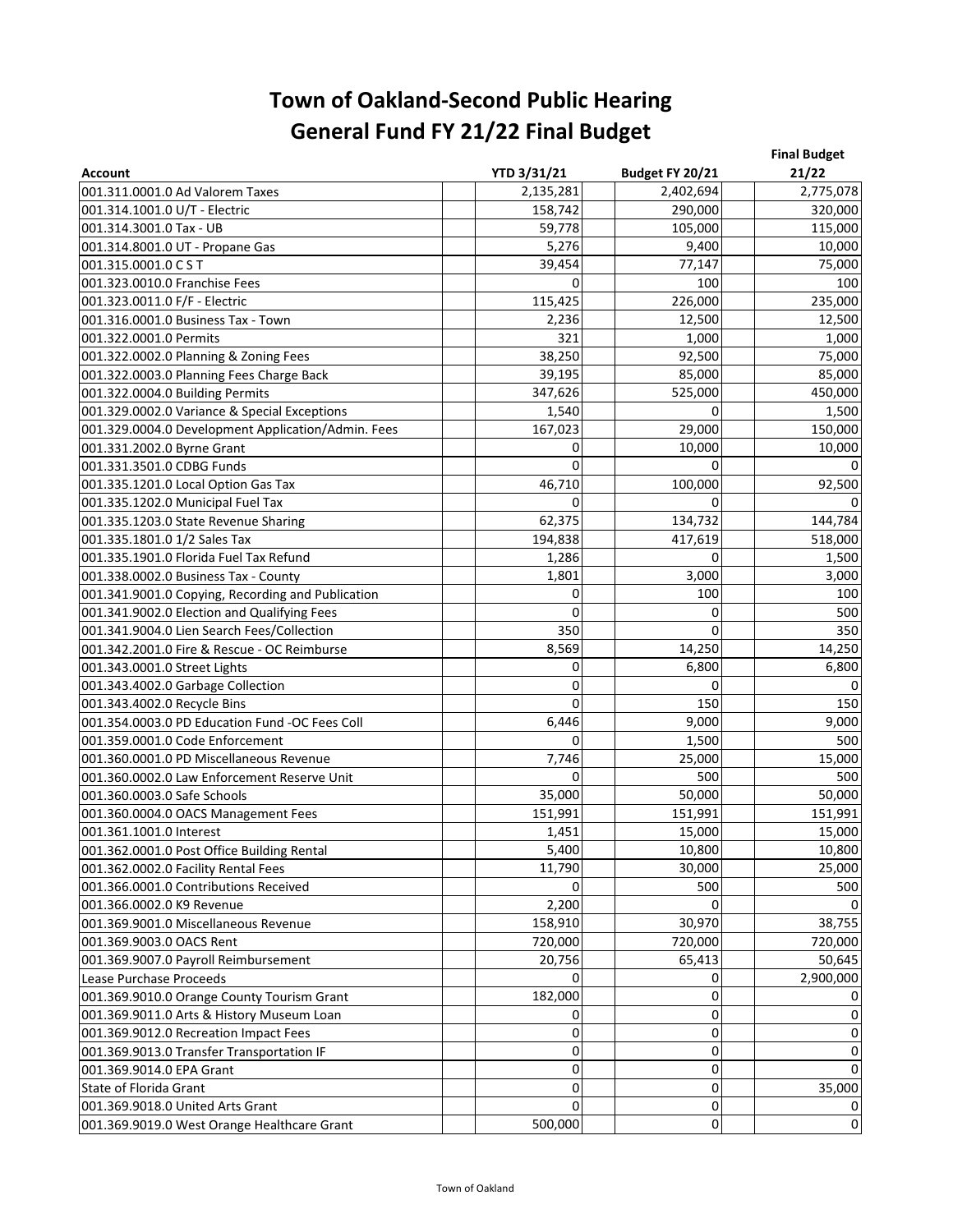| <b>Account</b>                                     | YTD 3/31/21 | Budget FY 20/21 | <b>Final Budget</b><br>21/22 |
|----------------------------------------------------|-------------|-----------------|------------------------------|
| 001.311.0001.0 Ad Valorem Taxes                    | 2,135,281   | 2,402,694       | 2,775,078                    |
| 001.314.1001.0 U/T - Electric                      | 158,742     | 290,000         | 320,000                      |
| 001.314.3001.0 Tax - UB                            | 59,778      | 105,000         | 115,000                      |
| 001.314.8001.0 UT - Propane Gas                    | 5,276       | 9,400           | 10,000                       |
| 001.315.0001.0 CST                                 | 39,454      | 77,147          | 75,000                       |
| 001.323.0010.0 Franchise Fees                      | 0           | 100             | 100                          |
| 001.323.0011.0 F/F - Electric                      | 115,425     | 226,000         | 235,000                      |
| 001.316.0001.0 Business Tax - Town                 | 2,236       | 12,500          | 12,500                       |
| 001.322.0001.0 Permits                             | 321         | 1,000           | 1,000                        |
| 001.322.0002.0 Planning & Zoning Fees              | 38,250      | 92,500          | 75,000                       |
| 001.322.0003.0 Planning Fees Charge Back           | 39,195      | 85,000          | 85,000                       |
| 001.322.0004.0 Building Permits                    | 347,626     | 525,000         | 450,000                      |
| 001.329.0002.0 Variance & Special Exceptions       | 1,540       | $\Omega$        | 1,500                        |
| 001.329.0004.0 Development Application/Admin. Fees | 167,023     | 29,000          | 150,000                      |
| 001.331.2002.0 Byrne Grant                         | 0           | 10,000          | 10,000                       |
| 001.331.3501.0 CDBG Funds                          | $\Omega$    | $\Omega$        | 0                            |
| 001.335.1201.0 Local Option Gas Tax                | 46,710      | 100,000         | 92,500                       |
| 001.335.1202.0 Municipal Fuel Tax                  | 0           | 0               | 0                            |
| 001.335.1203.0 State Revenue Sharing               | 62,375      | 134,732         | 144,784                      |
| 001.335.1801.0 1/2 Sales Tax                       | 194,838     | 417,619         | 518,000                      |
| 001.335.1901.0 Florida Fuel Tax Refund             | 1,286       | 0               | 1,500                        |
| 001.338.0002.0 Business Tax - County               | 1,801       | 3,000           | 3,000                        |
| 001.341.9001.0 Copying, Recording and Publication  | 0           | 100             | 100                          |
| 001.341.9002.0 Election and Qualifying Fees        | 0           | 0               | 500                          |
| 001.341.9004.0 Lien Search Fees/Collection         | 350         | 0               | 350                          |
| 001.342.2001.0 Fire & Rescue - OC Reimburse        | 8,569       | 14,250          | 14,250                       |
| 001.343.0001.0 Street Lights                       | 0           | 6,800           | 6,800                        |
| 001.343.4002.0 Garbage Collection                  | 0           | 0               | $\mathsf{O}$                 |
| 001.343.4002.0 Recycle Bins                        | $\Omega$    | 150             | 150                          |
| 001.354.0003.0 PD Education Fund -OC Fees Coll     | 6,446       | 9,000           | 9,000                        |
| 001.359.0001.0 Code Enforcement                    | 0           | 1,500           | 500                          |
| 001.360.0001.0 PD Miscellaneous Revenue            | 7,746       | 25,000          | 15,000                       |
| 001.360.0002.0 Law Enforcement Reserve Unit        | 0           | 500             | 500                          |
| 001.360.0003.0 Safe Schools                        | 35,000      | 50,000          | 50,000                       |
| 001.360.0004.0 OACS Management Fees                | 151,991     | 151,991         | 151,991                      |
| 001.361.1001.0 Interest                            | 1,451       | 15,000          | 15,000                       |
| 001.362.0001.0 Post Office Building Rental         | 5,400       | 10,800          | 10,800                       |
| 001.362.0002.0 Facility Rental Fees                | 11,790      | 30,000          | 25,000                       |
| 001.366.0001.0 Contributions Received              | 0           | 500             | 500                          |
| 001.366.0002.0 K9 Revenue                          | 2,200       | $\Omega$        | 0                            |
| 001.369.9001.0 Miscellaneous Revenue               | 158,910     | 30,970          | 38,755                       |
| 001.369.9003.0 OACS Rent                           | 720,000     | 720,000         | 720.000                      |
| 001.369.9007.0 Payroll Reimbursement               | 20,756      | 65,413          | 50,645                       |
| Lease Purchase Proceeds                            | 0           | 0               | 2,900,000                    |
| 001.369.9010.0 Orange County Tourism Grant         | 182,000     | 0               | 0                            |
| 001.369.9011.0 Arts & History Museum Loan          | 0           | 0               | 0                            |
| 001.369.9012.0 Recreation Impact Fees              | 0           | 0               | 0                            |
| 001.369.9013.0 Transfer Transportation IF          | 0           | 0               | 0                            |
| 001.369.9014.0 EPA Grant                           | 0           | 0               | $\pmb{0}$                    |
| State of Florida Grant                             | 0           | 0               | 35,000                       |
| 001.369.9018.0 United Arts Grant                   | 0           | 0               | 0                            |
| 001.369.9019.0 West Orange Healthcare Grant        | 500,000     | 0               | $\pmb{0}$                    |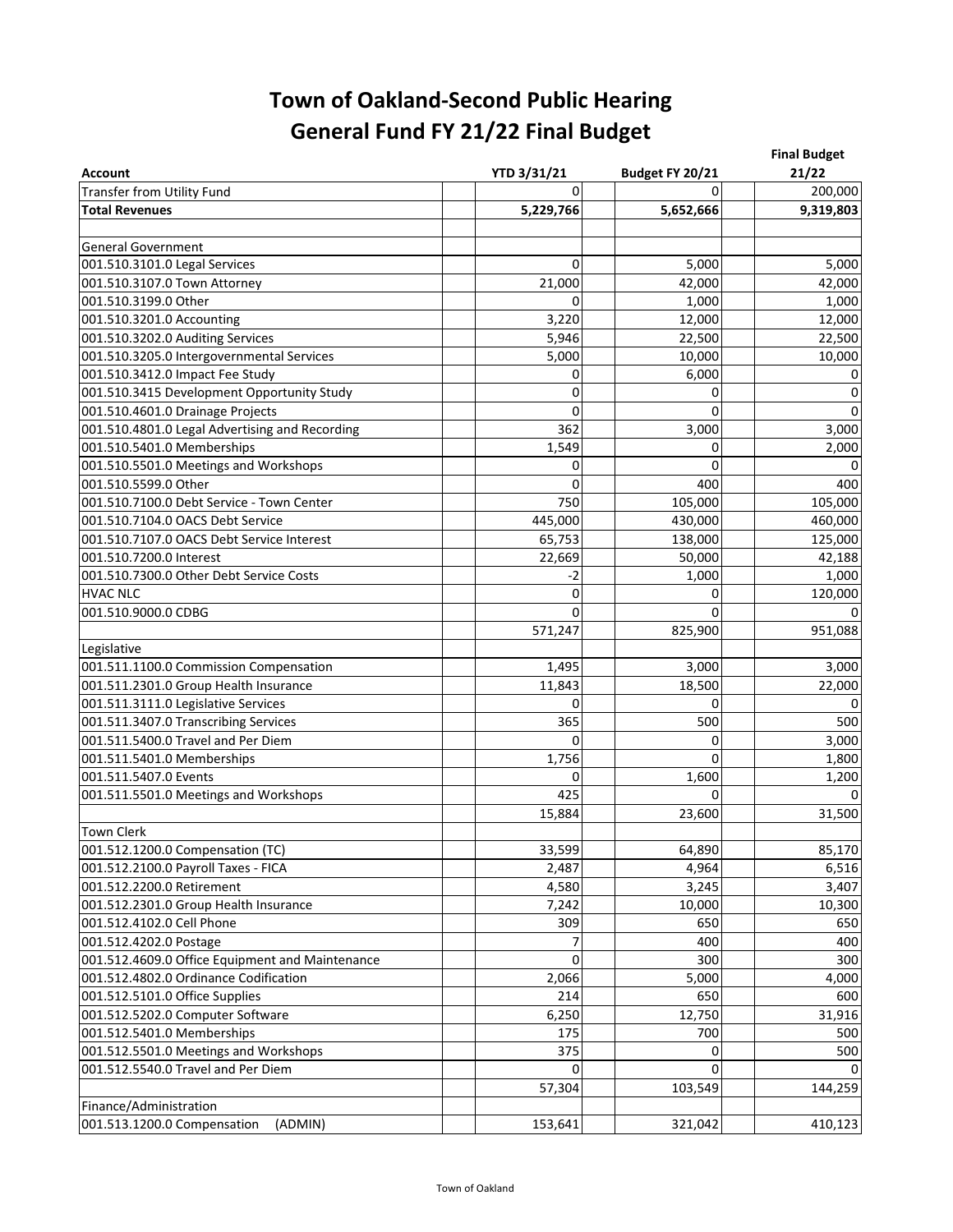| <b>Account</b>                                  | <b>YTD 3/31/21</b> | Budget FY 20/21 | <b>Final Budget</b><br>21/22 |
|-------------------------------------------------|--------------------|-----------------|------------------------------|
| <b>Transfer from Utility Fund</b>               | $\Omega$           | $\Omega$        | 200,000                      |
| <b>Total Revenues</b>                           | 5,229,766          | 5,652,666       | 9,319,803                    |
|                                                 |                    |                 |                              |
| <b>General Government</b>                       |                    |                 |                              |
| 001.510.3101.0 Legal Services                   | 0                  | 5,000           | 5,000                        |
| 001.510.3107.0 Town Attorney                    | 21,000             | 42,000          | 42,000                       |
| 001.510.3199.0 Other                            | 0                  | 1,000           | 1,000                        |
| 001.510.3201.0 Accounting                       | 3,220              | 12,000          | 12,000                       |
| 001.510.3202.0 Auditing Services                | 5,946              | 22,500          | 22,500                       |
| 001.510.3205.0 Intergovernmental Services       | 5,000              | 10,000          | 10,000                       |
| 001.510.3412.0 Impact Fee Study                 | 0                  | 6,000           | 0                            |
| 001.510.3415 Development Opportunity Study      | 0                  | 0               | $\pmb{0}$                    |
| 001.510.4601.0 Drainage Projects                | 0                  | $\Omega$        | $\pmb{0}$                    |
| 001.510.4801.0 Legal Advertising and Recording  | 362                | 3,000           | 3,000                        |
| 001.510.5401.0 Memberships                      | 1,549              | $\Omega$        | 2,000                        |
| 001.510.5501.0 Meetings and Workshops           | 0                  | 0               | $\pmb{0}$                    |
| 001.510.5599.0 Other                            | 0                  | 400             | 400                          |
| 001.510.7100.0 Debt Service - Town Center       | 750                | 105,000         | 105,000                      |
| 001.510.7104.0 OACS Debt Service                | 445,000            | 430,000         | 460,000                      |
| 001.510.7107.0 OACS Debt Service Interest       | 65,753             | 138,000         | 125,000                      |
| 001.510.7200.0 Interest                         | 22,669             | 50,000          | 42,188                       |
| 001.510.7300.0 Other Debt Service Costs         | $-2$               | 1,000           | 1,000                        |
| <b>HVAC NLC</b>                                 | 0                  | 0               | 120,000                      |
| 001.510.9000.0 CDBG                             | $\Omega$           | 0               | 0                            |
|                                                 | 571,247            | 825,900         | 951,088                      |
| Legislative                                     |                    |                 |                              |
| 001.511.1100.0 Commission Compensation          | 1,495              | 3,000           | 3,000                        |
| 001.511.2301.0 Group Health Insurance           | 11,843             | 18,500          | 22,000                       |
| 001.511.3111.0 Legislative Services             | 0                  | 0               | $\mathsf 0$                  |
| 001.511.3407.0 Transcribing Services            | 365                | 500             | 500                          |
| 001.511.5400.0 Travel and Per Diem              | $\Omega$           | 0               | 3,000                        |
| 001.511.5401.0 Memberships                      | 1,756              | $\Omega$        | 1,800                        |
| 001.511.5407.0 Events                           | 0                  | 1,600           | 1,200                        |
| 001.511.5501.0 Meetings and Workshops           | 425                | 0               | 0                            |
|                                                 | 15,884             | 23,600          | 31,500                       |
| <b>Town Clerk</b>                               |                    |                 |                              |
| 001.512.1200.0 Compensation (TC)                | 33,599             | 64,890          | 85,170                       |
| 001.512.2100.0 Payroll Taxes - FICA             | 2,487              | 4,964           | 6,516                        |
| 001.512.2200.0 Retirement                       | 4,580              | 3,245           | 3,407                        |
| 001.512.2301.0 Group Health Insurance           | 7,242              | 10,000          | 10,300                       |
| 001.512.4102.0 Cell Phone                       | 309                | 650             | 650                          |
| 001.512.4202.0 Postage                          |                    | 400             | 400                          |
| 001.512.4609.0 Office Equipment and Maintenance | 0                  | 300             | 300                          |
| 001.512.4802.0 Ordinance Codification           | 2,066              | 5,000           | 4,000                        |
| 001.512.5101.0 Office Supplies                  | 214                | 650             | 600                          |
| 001.512.5202.0 Computer Software                | 6,250              | 12,750          | 31,916                       |
| 001.512.5401.0 Memberships                      | 175                | 700             | 500                          |
| 001.512.5501.0 Meetings and Workshops           | 375                | 0               | 500                          |
| 001.512.5540.0 Travel and Per Diem              | 0                  | 0               | 0                            |
|                                                 | 57,304             | 103,549         | 144,259                      |
| Finance/Administration                          |                    |                 |                              |
| 001.513.1200.0 Compensation<br>(ADMIN)          | 153,641            | 321,042         | 410,123                      |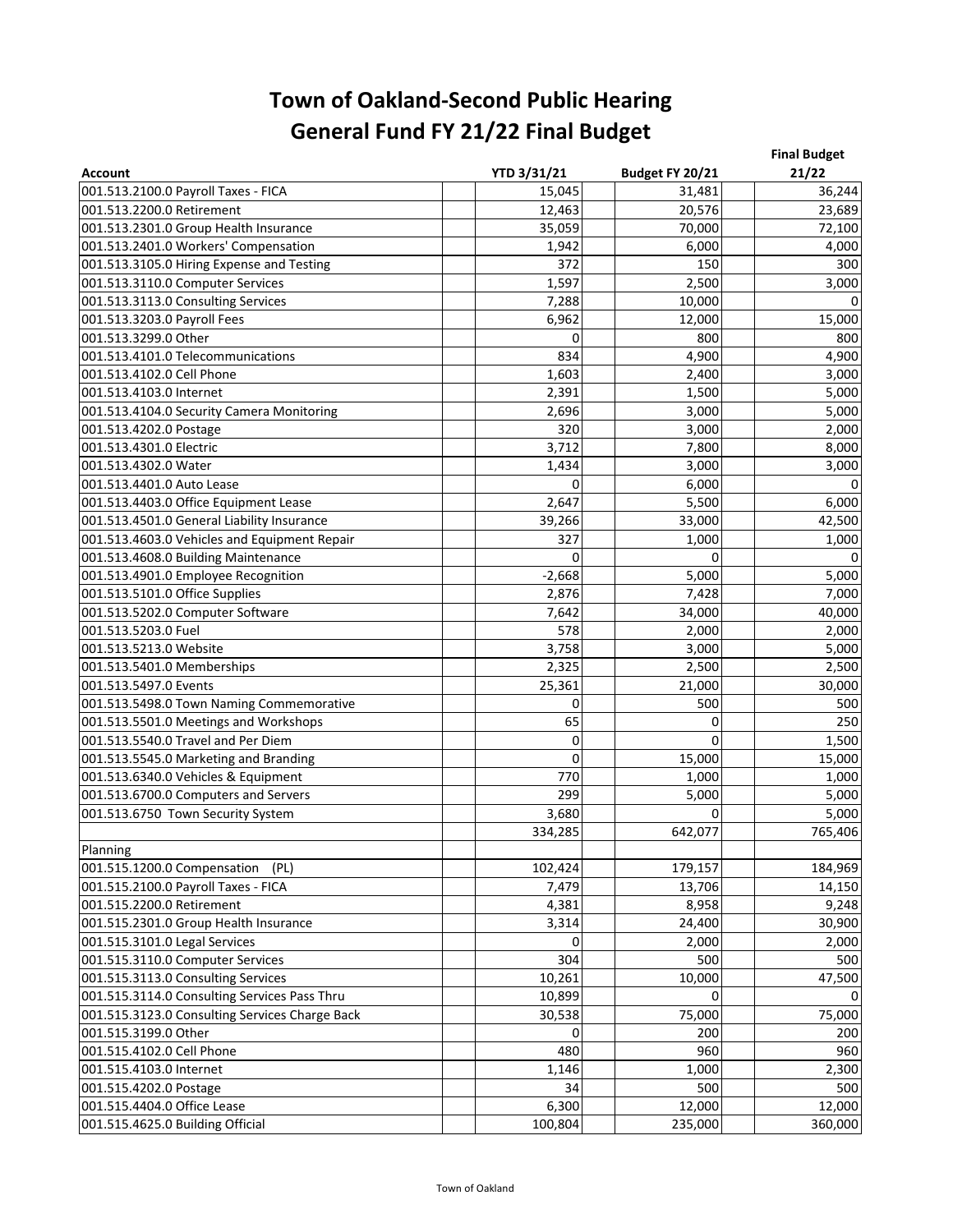| <b>Account</b>                                 | <b>YTD 3/31/21</b> | Budget FY 20/21 | <b>Final Budget</b><br>21/22 |
|------------------------------------------------|--------------------|-----------------|------------------------------|
| 001.513.2100.0 Payroll Taxes - FICA            | 15,045             | 31,481          | 36,244                       |
| 001.513.2200.0 Retirement                      | 12,463             | 20,576          | 23,689                       |
| 001.513.2301.0 Group Health Insurance          | 35,059             | 70,000          | 72,100                       |
| 001.513.2401.0 Workers' Compensation           | 1,942              | 6,000           | 4,000                        |
| 001.513.3105.0 Hiring Expense and Testing      | 372                | 150             | 300                          |
| 001.513.3110.0 Computer Services               | 1,597              | 2,500           | 3,000                        |
| 001.513.3113.0 Consulting Services             | 7,288              | 10,000          | $\mathbf 0$                  |
| 001.513.3203.0 Payroll Fees                    | 6,962              | 12,000          | 15,000                       |
| 001.513.3299.0 Other                           | 0                  | 800             | 800                          |
| 001.513.4101.0 Telecommunications              | 834                | 4,900           | 4,900                        |
| 001.513.4102.0 Cell Phone                      | 1,603              | 2,400           | 3,000                        |
| 001.513.4103.0 Internet                        | 2,391              | 1,500           | 5,000                        |
| 001.513.4104.0 Security Camera Monitoring      | 2,696              | 3,000           | 5,000                        |
| 001.513.4202.0 Postage                         | 320                | 3,000           | 2,000                        |
| 001.513.4301.0 Electric                        | 3,712              | 7,800           | 8,000                        |
| 001.513.4302.0 Water                           | 1,434              | 3,000           | 3,000                        |
| 001.513.4401.0 Auto Lease                      | 0                  | 6,000           | 0                            |
| 001.513.4403.0 Office Equipment Lease          | 2,647              | 5,500           | 6,000                        |
| 001.513.4501.0 General Liability Insurance     | 39,266             | 33,000          | 42,500                       |
| 001.513.4603.0 Vehicles and Equipment Repair   | 327                | 1,000           | 1,000                        |
| 001.513.4608.0 Building Maintenance            | 0                  | 0               | 0                            |
| 001.513.4901.0 Employee Recognition            | $-2,668$           | 5,000           | 5,000                        |
| 001.513.5101.0 Office Supplies                 | 2,876              | 7,428           | 7,000                        |
| 001.513.5202.0 Computer Software               | 7,642              | 34,000          | 40,000                       |
| 001.513.5203.0 Fuel                            | 578                | 2,000           | 2,000                        |
| 001.513.5213.0 Website                         | 3,758              | 3,000           | 5,000                        |
| 001.513.5401.0 Memberships                     | 2,325              | 2,500           | 2,500                        |
| 001.513.5497.0 Events                          | 25,361             | 21,000          | 30,000                       |
| 001.513.5498.0 Town Naming Commemorative       | 0                  | 500             | 500                          |
| 001.513.5501.0 Meetings and Workshops          | 65                 | 0               | 250                          |
| 001.513.5540.0 Travel and Per Diem             | 0                  | $\Omega$        | 1,500                        |
| 001.513.5545.0 Marketing and Branding          | 0                  | 15,000          | 15,000                       |
| 001.513.6340.0 Vehicles & Equipment            | 770                | 1,000           | 1,000                        |
| 001.513.6700.0 Computers and Servers           | 299                | 5,000           | 5,000                        |
| 001.513.6750 Town Security System              | 3,680              | 0               | 5,000                        |
|                                                | 334,285            | 642,077         | 765,406                      |
| Planning                                       |                    |                 |                              |
| 001.515.1200.0 Compensation<br>(PL)            | 102,424            | 179,157         | 184,969                      |
| 001.515.2100.0 Payroll Taxes - FICA            | 7,479              | 13,706          | 14,150                       |
| 001.515.2200.0 Retirement                      | 4,381              | 8,958           | 9,248                        |
| 001.515.2301.0 Group Health Insurance          | 3,314              | 24,400          | 30,900                       |
| 001.515.3101.0 Legal Services                  | 0                  | 2,000           | 2,000                        |
| 001.515.3110.0 Computer Services               | 304                | 500             | 500                          |
| 001.515.3113.0 Consulting Services             | 10,261             | 10,000          | 47,500                       |
| 001.515.3114.0 Consulting Services Pass Thru   | 10,899             | 0               | 0                            |
| 001.515.3123.0 Consulting Services Charge Back | 30,538             | 75,000          | 75,000                       |
| 001.515.3199.0 Other                           | 0                  | 200             | 200                          |
| 001.515.4102.0 Cell Phone                      | 480                | 960             | 960                          |
| 001.515.4103.0 Internet                        | 1,146              | 1,000           | 2,300                        |
| 001.515.4202.0 Postage                         | 34                 | 500             | 500                          |
| 001.515.4404.0 Office Lease                    | 6,300              | 12,000          | 12,000                       |
| 001.515.4625.0 Building Official               | 100,804            | 235,000         | 360,000                      |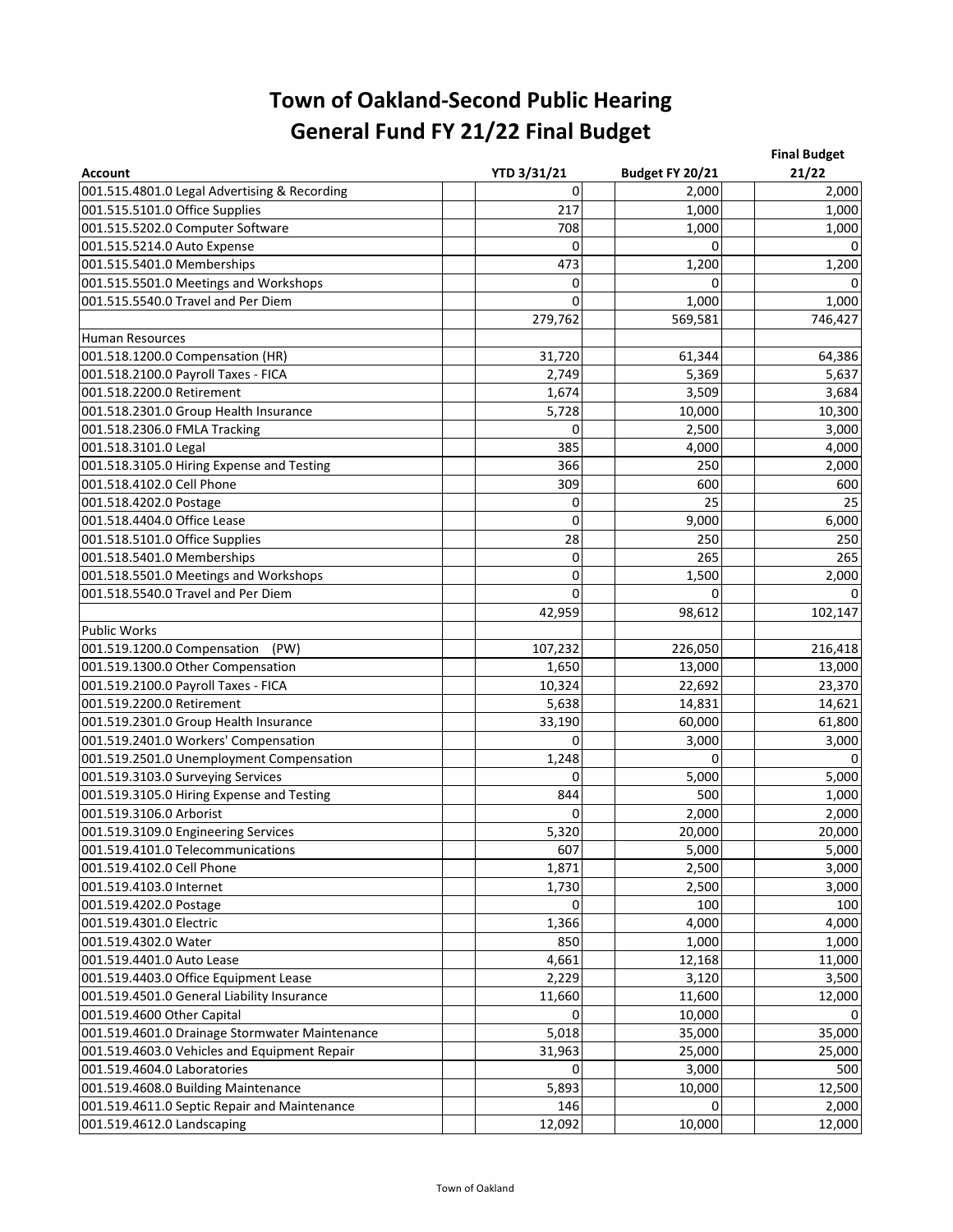| <b>Account</b>                                 | <b>YTD 3/31/21</b> | Budget FY 20/21 | <b>Final Budget</b><br>21/22 |
|------------------------------------------------|--------------------|-----------------|------------------------------|
| 001.515.4801.0 Legal Advertising & Recording   | 0                  | 2,000           | 2,000                        |
| 001.515.5101.0 Office Supplies                 | 217                | 1,000           | 1,000                        |
| 001.515.5202.0 Computer Software               | 708                | 1,000           | 1,000                        |
| 001.515.5214.0 Auto Expense                    | $\mathbf 0$        | O               | 0                            |
| 001.515.5401.0 Memberships                     | 473                | 1,200           | 1,200                        |
| 001.515.5501.0 Meetings and Workshops          | 0                  | O               |                              |
| 001.515.5540.0 Travel and Per Diem             | 0                  | 1,000           | 1,000                        |
|                                                | 279,762            | 569,581         | 746,427                      |
| <b>Human Resources</b>                         |                    |                 |                              |
| 001.518.1200.0 Compensation (HR)               | 31,720             | 61,344          | 64,386                       |
| 001.518.2100.0 Payroll Taxes - FICA            | 2,749              | 5,369           | 5,637                        |
| 001.518.2200.0 Retirement                      | 1,674              | 3,509           | 3,684                        |
| 001.518.2301.0 Group Health Insurance          | 5,728              | 10,000          | 10,300                       |
| 001.518.2306.0 FMLA Tracking                   | 0                  | 2,500           | 3,000                        |
| 001.518.3101.0 Legal                           | 385                | 4,000           | 4,000                        |
| 001.518.3105.0 Hiring Expense and Testing      | 366                | 250             | 2,000                        |
| 001.518.4102.0 Cell Phone                      | 309                | 600             | 600                          |
| 001.518.4202.0 Postage                         | 0                  | 25              | 25                           |
| 001.518.4404.0 Office Lease                    | 0                  | 9,000           | 6,000                        |
| 001.518.5101.0 Office Supplies                 | 28                 | 250             | 250                          |
| 001.518.5401.0 Memberships                     | 0                  | 265             | 265                          |
| 001.518.5501.0 Meetings and Workshops          | 0                  | 1,500           | 2,000                        |
| 001.518.5540.0 Travel and Per Diem             | 0                  | 0               | 0                            |
|                                                | 42,959             | 98,612          | 102,147                      |
| <b>Public Works</b>                            |                    |                 |                              |
| 001.519.1200.0 Compensation<br>(PW)            | 107,232            | 226,050         | 216,418                      |
| 001.519.1300.0 Other Compensation              | 1,650              | 13,000          | 13,000                       |
| 001.519.2100.0 Payroll Taxes - FICA            | 10,324             | 22,692          | 23,370                       |
| 001.519.2200.0 Retirement                      | 5,638              | 14,831          | 14,621                       |
| 001.519.2301.0 Group Health Insurance          | 33,190             | 60,000          | 61,800                       |
| 001.519.2401.0 Workers' Compensation           | 0                  | 3,000           | 3,000                        |
| 001.519.2501.0 Unemployment Compensation       | 1,248              | 0               | 0                            |
| 001.519.3103.0 Surveying Services              | 0                  | 5,000           | 5,000                        |
| 001.519.3105.0 Hiring Expense and Testing      | 844                | 500             | 1,000                        |
| 001.519.3106.0 Arborist                        | 0                  | 2,000           | 2,000                        |
| 001.519.3109.0 Engineering Services            | 5,320              | 20,000          | 20,000                       |
| 001.519.4101.0 Telecommunications              | 607                | 5,000           | 5,000                        |
| 001.519.4102.0 Cell Phone                      | 1,871              | 2,500           | 3,000                        |
| 001.519.4103.0 Internet                        | 1,730              | 2,500           | 3,000                        |
| 001.519.4202.0 Postage                         | $\mathbf 0$        | 100             | 100                          |
| 001.519.4301.0 Electric                        | 1,366              | 4,000           | 4,000                        |
| 001.519.4302.0 Water                           | 850                | 1,000           | 1,000                        |
| 001.519.4401.0 Auto Lease                      | 4,661              | 12,168          | 11,000                       |
| 001.519.4403.0 Office Equipment Lease          | 2,229              | 3,120           | 3,500                        |
| 001.519.4501.0 General Liability Insurance     | 11,660             | 11,600          | 12,000                       |
| 001.519.4600 Other Capital                     | 0                  | 10,000          | 0                            |
| 001.519.4601.0 Drainage Stormwater Maintenance | 5,018              | 35,000          | 35,000                       |
| 001.519.4603.0 Vehicles and Equipment Repair   | 31,963             | 25,000          | 25,000                       |
| 001.519.4604.0 Laboratories                    | 0                  | 3,000           | 500                          |
| 001.519.4608.0 Building Maintenance            | 5,893              | 10,000          | 12,500                       |
| 001.519.4611.0 Septic Repair and Maintenance   | 146                | 0               | 2,000                        |
| 001.519.4612.0 Landscaping                     | 12,092             | 10,000          | 12,000                       |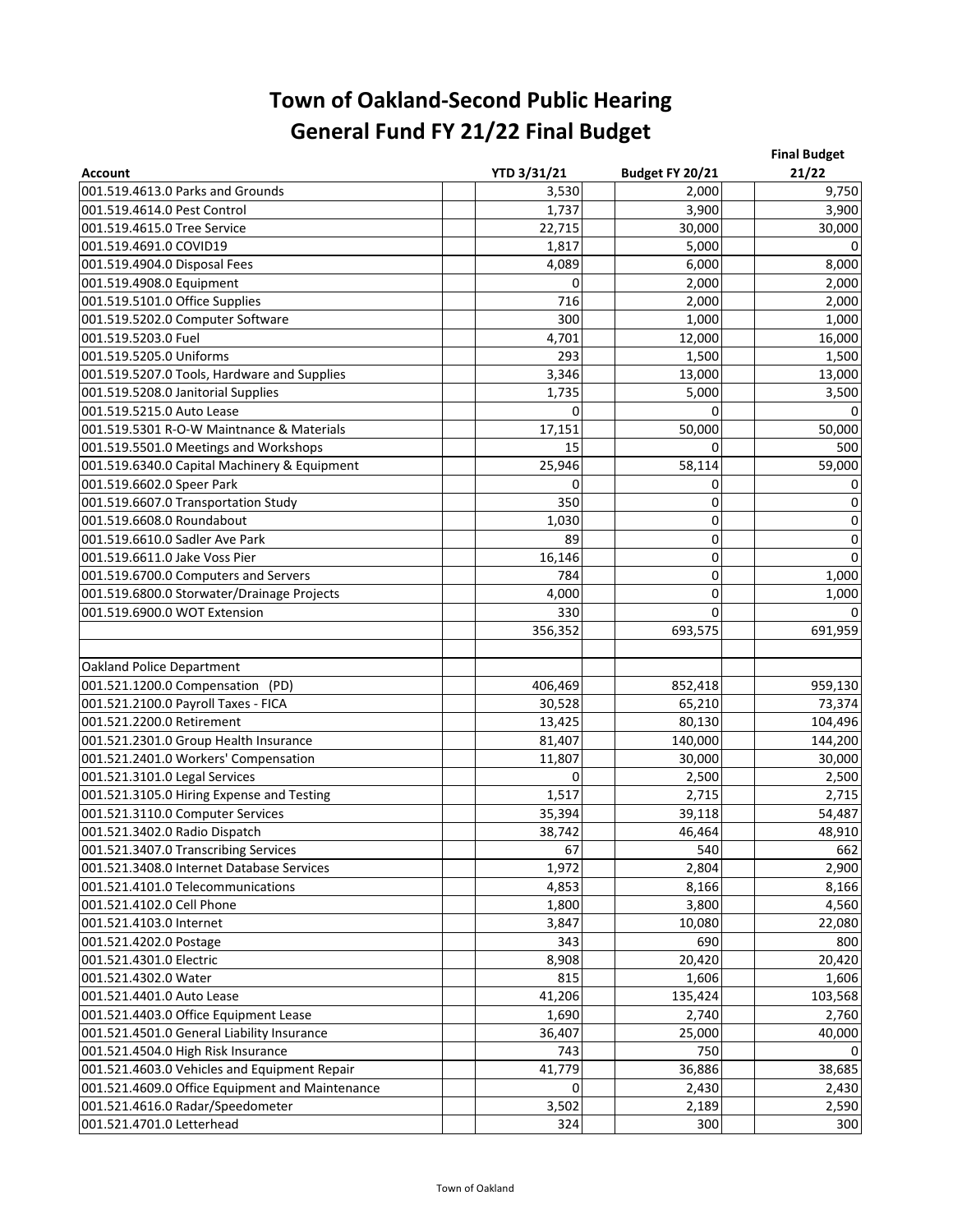| <b>Account</b>                                  | <b>YTD 3/31/21</b> | Budget FY 20/21 | <b>Final Budget</b><br>21/22 |  |
|-------------------------------------------------|--------------------|-----------------|------------------------------|--|
| 001.519.4613.0 Parks and Grounds                | 3,530              | 2,000           | 9,750                        |  |
| 001.519.4614.0 Pest Control                     | 1,737              | 3,900           | 3,900                        |  |
| 001.519.4615.0 Tree Service                     | 22,715             | 30,000          | 30,000                       |  |
| 001.519.4691.0 COVID19                          | 1,817              | 5,000           | 0                            |  |
| 001.519.4904.0 Disposal Fees                    | 4,089              | 6,000           | 8,000                        |  |
| 001.519.4908.0 Equipment                        | 0                  | 2,000           | 2,000                        |  |
| 001.519.5101.0 Office Supplies                  | 716                | 2,000           | 2,000                        |  |
| 001.519.5202.0 Computer Software                | 300                | 1,000           | 1,000                        |  |
| 001.519.5203.0 Fuel                             | 4,701              | 12,000          | 16,000                       |  |
| 001.519.5205.0 Uniforms                         | 293                | 1,500           | 1,500                        |  |
| 001.519.5207.0 Tools, Hardware and Supplies     | 3,346              | 13,000          | 13,000                       |  |
| 001.519.5208.0 Janitorial Supplies              | 1,735              | 5,000           | 3,500                        |  |
| 001.519.5215.0 Auto Lease                       | 0                  | O               | 0                            |  |
| 001.519.5301 R-O-W Maintnance & Materials       | 17,151             | 50,000          | 50,000                       |  |
| 001.519.5501.0 Meetings and Workshops           | 15                 |                 | 500                          |  |
| 001.519.6340.0 Capital Machinery & Equipment    | 25,946             | 58,114          | 59,000                       |  |
| 001.519.6602.0 Speer Park                       | $\Omega$           | 0               | 0                            |  |
| 001.519.6607.0 Transportation Study             | 350                | 0               | 0                            |  |
| 001.519.6608.0 Roundabout                       | 1,030              | 0               | 0                            |  |
| 001.519.6610.0 Sadler Ave Park                  | 89                 | 0               | 0                            |  |
| 001.519.6611.0 Jake Voss Pier                   | 16,146             | 0               | $\pmb{0}$                    |  |
| 001.519.6700.0 Computers and Servers            | 784                | 0               | 1,000                        |  |
| 001.519.6800.0 Storwater/Drainage Projects      | 4,000              | 0               | 1,000                        |  |
| 001.519.6900.0 WOT Extension                    | 330                | $\Omega$        | 0                            |  |
|                                                 | 356,352            | 693,575         | 691,959                      |  |
| <b>Oakland Police Department</b>                |                    |                 |                              |  |
| 001.521.1200.0 Compensation (PD)                | 406,469            | 852,418         | 959,130                      |  |
| 001.521.2100.0 Payroll Taxes - FICA             | 30,528             | 65,210          | 73,374                       |  |
| 001.521.2200.0 Retirement                       | 13,425             | 80,130          | 104,496                      |  |
| 001.521.2301.0 Group Health Insurance           | 81,407             | 140,000         | 144,200                      |  |
| 001.521.2401.0 Workers' Compensation            | 11,807             | 30,000          | 30,000                       |  |
| 001.521.3101.0 Legal Services                   | 0                  | 2,500           | 2,500                        |  |
| 001.521.3105.0 Hiring Expense and Testing       | 1,517              | 2,715           | 2,715                        |  |
| 001.521.3110.0 Computer Services                | 35,394             | 39,118          | 54,487                       |  |
| 001.521.3402.0 Radio Dispatch                   | 38,742             | 46,464          | 48,910                       |  |
| 001.521.3407.0 Transcribing Services            | 67                 | 540             | 662                          |  |
| 001.521.3408.0 Internet Database Services       | 1,972              | 2,804           | 2,900                        |  |
| 001.521.4101.0 Telecommunications               | 4,853              | 8,166           | 8,166                        |  |
| 001.521.4102.0 Cell Phone                       | 1,800              | 3,800           | 4,560                        |  |
| 001.521.4103.0 Internet                         | 3,847              | 10,080          | 22,080                       |  |
| 001.521.4202.0 Postage                          | 343                | 690             | 800                          |  |
| 001.521.4301.0 Electric                         | 8,908              | 20,420          | 20,420                       |  |
| 001.521.4302.0 Water                            | 815                | 1,606           | 1,606                        |  |
| 001.521.4401.0 Auto Lease                       | 41,206             | 135,424         | 103,568                      |  |
| 001.521.4403.0 Office Equipment Lease           | 1,690              | 2,740           | 2,760                        |  |
| 001.521.4501.0 General Liability Insurance      | 36,407             | 25,000          | 40,000                       |  |
| 001.521.4504.0 High Risk Insurance              | 743                | 750             | 0                            |  |
| 001.521.4603.0 Vehicles and Equipment Repair    | 41,779             | 36,886          | 38,685                       |  |
| 001.521.4609.0 Office Equipment and Maintenance | 0                  | 2,430           | 2,430                        |  |
| 001.521.4616.0 Radar/Speedometer                | 3,502              | 2,189           | 2,590                        |  |
| 001.521.4701.0 Letterhead                       | 324                | 300             | 300                          |  |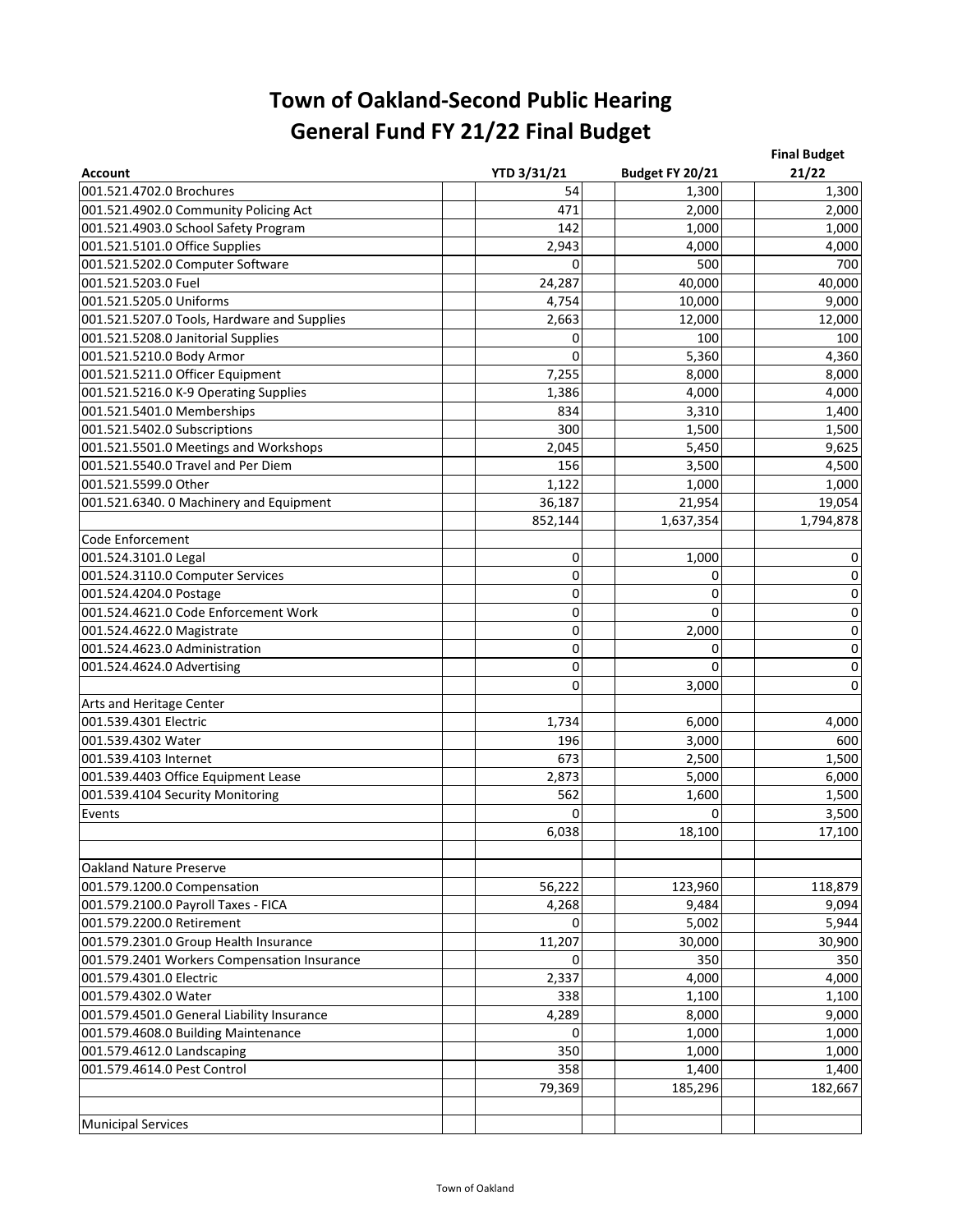| <b>Account</b>                              | <b>YTD 3/31/21</b> | Budget FY 20/21 | <b>Final Budget</b><br>21/22 |
|---------------------------------------------|--------------------|-----------------|------------------------------|
| 001.521.4702.0 Brochures                    | 54                 | 1,300           | 1,300                        |
| 001.521.4902.0 Community Policing Act       | 471                | 2,000           | 2,000                        |
| 001.521.4903.0 School Safety Program        | 142                | 1,000           | 1,000                        |
| 001.521.5101.0 Office Supplies              | 2,943              | 4,000           | 4,000                        |
| 001.521.5202.0 Computer Software            | 0                  | 500             | 700                          |
| 001.521.5203.0 Fuel                         | 24,287             | 40,000          | 40,000                       |
| 001.521.5205.0 Uniforms                     | 4,754              | 10,000          | 9,000                        |
| 001.521.5207.0 Tools, Hardware and Supplies | 2,663              | 12,000          | 12,000                       |
| 001.521.5208.0 Janitorial Supplies          | 0                  | 100             | 100                          |
| 001.521.5210.0 Body Armor                   | $\Omega$           | 5,360           | 4,360                        |
| 001.521.5211.0 Officer Equipment            | 7,255              | 8,000           | 8,000                        |
| 001.521.5216.0 K-9 Operating Supplies       | 1,386              | 4,000           | 4,000                        |
| 001.521.5401.0 Memberships                  | 834                | 3,310           | 1,400                        |
| 001.521.5402.0 Subscriptions                | 300                | 1,500           | 1,500                        |
| 001.521.5501.0 Meetings and Workshops       | 2,045              | 5,450           | 9,625                        |
| 001.521.5540.0 Travel and Per Diem          | 156                | 3,500           | 4,500                        |
| 001.521.5599.0 Other                        | 1,122              | 1,000           | 1,000                        |
| 001.521.6340. 0 Machinery and Equipment     | 36,187             | 21,954          | 19,054                       |
|                                             | 852,144            | 1,637,354       | 1,794,878                    |
| Code Enforcement                            |                    |                 |                              |
| 001.524.3101.0 Legal                        | 0                  | 1,000           | 0                            |
| 001.524.3110.0 Computer Services            | 0                  | 0               | $\pmb{0}$                    |
| 001.524.4204.0 Postage                      | 0                  | 0               | $\pmb{0}$                    |
| 001.524.4621.0 Code Enforcement Work        | 0                  | $\Omega$        | $\mathbf 0$                  |
| 001.524.4622.0 Magistrate                   | 0                  | 2,000           | $\mathbf 0$                  |
| 001.524.4623.0 Administration               | 0                  | 0               | $\pmb{0}$                    |
| 001.524.4624.0 Advertising                  | 0                  | $\Omega$        | $\pmb{0}$                    |
|                                             | 0                  | 3,000           | $\mathbf 0$                  |
| Arts and Heritage Center                    |                    |                 |                              |
| 001.539.4301 Electric                       | 1,734              | 6,000           | 4,000                        |
| 001.539.4302 Water                          | 196                | 3,000           | 600                          |
| 001.539.4103 Internet                       | 673                | 2,500           | 1,500                        |
| 001.539.4403 Office Equipment Lease         | 2,873              | 5,000           | 6,000                        |
| 001.539.4104 Security Monitoring            | 562                | 1,600           | 1,500                        |
| Events                                      | $\Omega$           | 0               | 3,500                        |
|                                             | 6,038              | 18,100          | 17,100                       |
|                                             |                    |                 |                              |
| <b>Oakland Nature Preserve</b>              |                    |                 |                              |
| 001.579.1200.0 Compensation                 | 56,222             | 123,960         | 118,879                      |
| 001.579.2100.0 Payroll Taxes - FICA         | 4,268              | 9,484           | 9,094                        |
| 001.579.2200.0 Retirement                   | $\Omega$           | 5,002           | 5,944                        |
| 001.579.2301.0 Group Health Insurance       | 11,207             | 30,000          | 30,900                       |
| 001.579.2401 Workers Compensation Insurance | 0                  | 350             | 350                          |
| 001.579.4301.0 Electric                     | 2,337              | 4,000           | 4,000                        |
| 001.579.4302.0 Water                        | 338                | 1,100           | 1,100                        |
| 001.579.4501.0 General Liability Insurance  | 4,289              | 8,000           | 9,000                        |
| 001.579.4608.0 Building Maintenance         | 0                  | 1,000           | 1,000                        |
| 001.579.4612.0 Landscaping                  | 350                | 1,000           | 1,000                        |
| 001.579.4614.0 Pest Control                 | 358                | 1,400           | 1,400                        |
|                                             | 79,369             | 185,296         | 182,667                      |
|                                             |                    |                 |                              |
| <b>Municipal Services</b>                   |                    |                 |                              |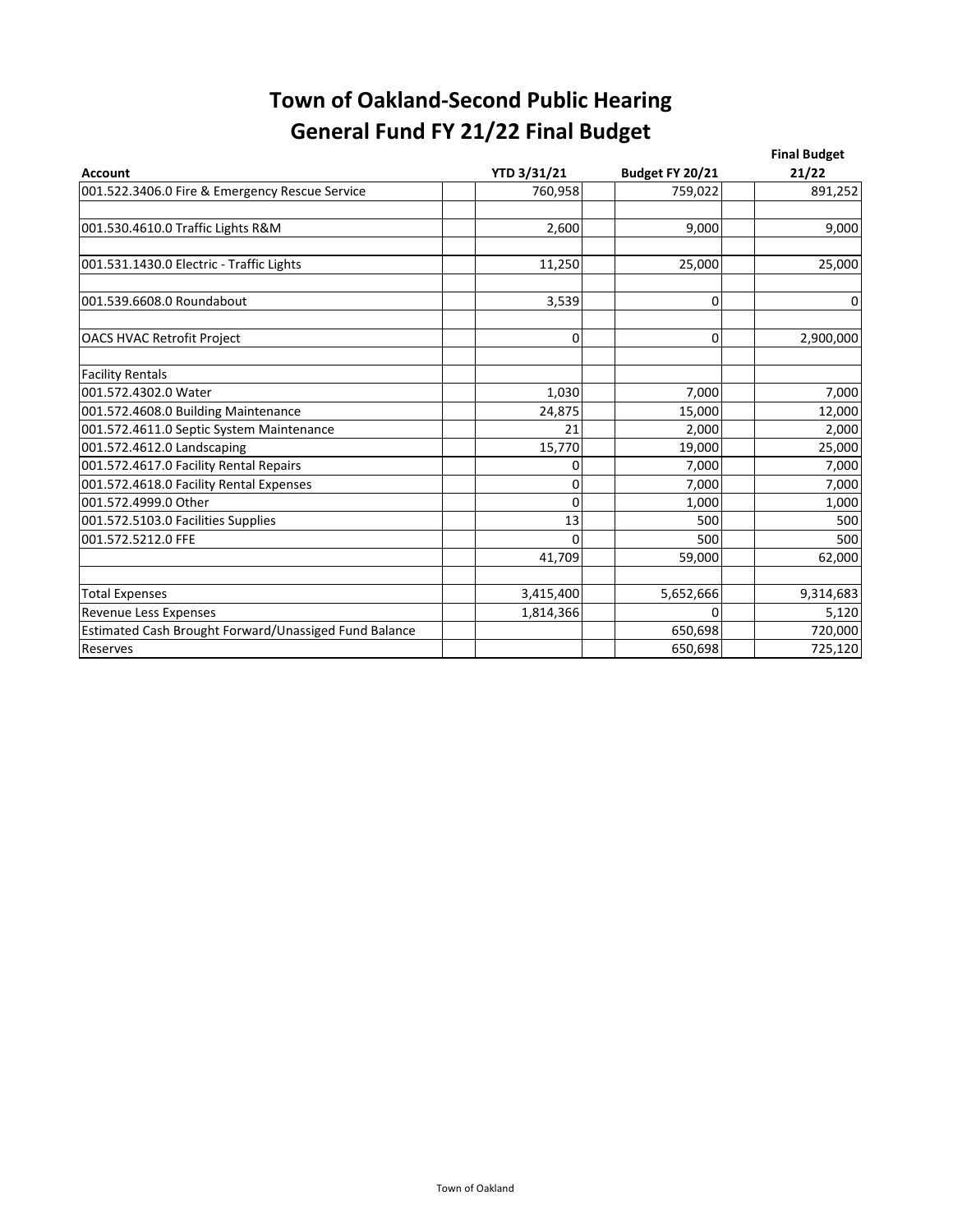| <b>Account</b>                                        | <b>YTD 3/31/21</b> | Budget FY 20/21 | <b>Final Budget</b><br>21/22 |
|-------------------------------------------------------|--------------------|-----------------|------------------------------|
| 001.522.3406.0 Fire & Emergency Rescue Service        | 760,958            | 759,022         | 891,252                      |
|                                                       |                    |                 |                              |
| 001.530.4610.0 Traffic Lights R&M                     | 2,600              | 9,000           | 9,000                        |
| 001.531.1430.0 Electric - Traffic Lights              | 11,250             | 25,000          | 25,000                       |
| 001.539.6608.0 Roundabout                             | 3,539              | 0               | $\mathbf{0}$                 |
| <b>OACS HVAC Retrofit Project</b>                     | 0                  | 0               | 2,900,000                    |
| <b>Facility Rentals</b>                               |                    |                 |                              |
| 001.572.4302.0 Water                                  | 1,030              | 7,000           | 7,000                        |
| 001.572.4608.0 Building Maintenance                   | 24,875             | 15,000          | 12,000                       |
| 001.572.4611.0 Septic System Maintenance              | 21                 | 2,000           | 2,000                        |
| 001.572.4612.0 Landscaping                            | 15,770             | 19,000          | 25,000                       |
| 001.572.4617.0 Facility Rental Repairs                | 0                  | 7,000           | 7,000                        |
| 001.572.4618.0 Facility Rental Expenses               | 0                  | 7,000           | 7,000                        |
| 001.572.4999.0 Other                                  | 0                  | 1,000           | 1,000                        |
| 001.572.5103.0 Facilities Supplies                    | 13                 | 500             | 500                          |
| 001.572.5212.0 FFE                                    | $\Omega$           | 500             | 500                          |
|                                                       | 41,709             | 59,000          | 62,000                       |
| <b>Total Expenses</b>                                 | 3,415,400          | 5,652,666       | 9,314,683                    |
| Revenue Less Expenses                                 | 1,814,366          | $\Omega$        | 5,120                        |
| Estimated Cash Brought Forward/Unassiged Fund Balance |                    | 650,698         | 720,000                      |
| Reserves                                              |                    | 650,698         | 725,120                      |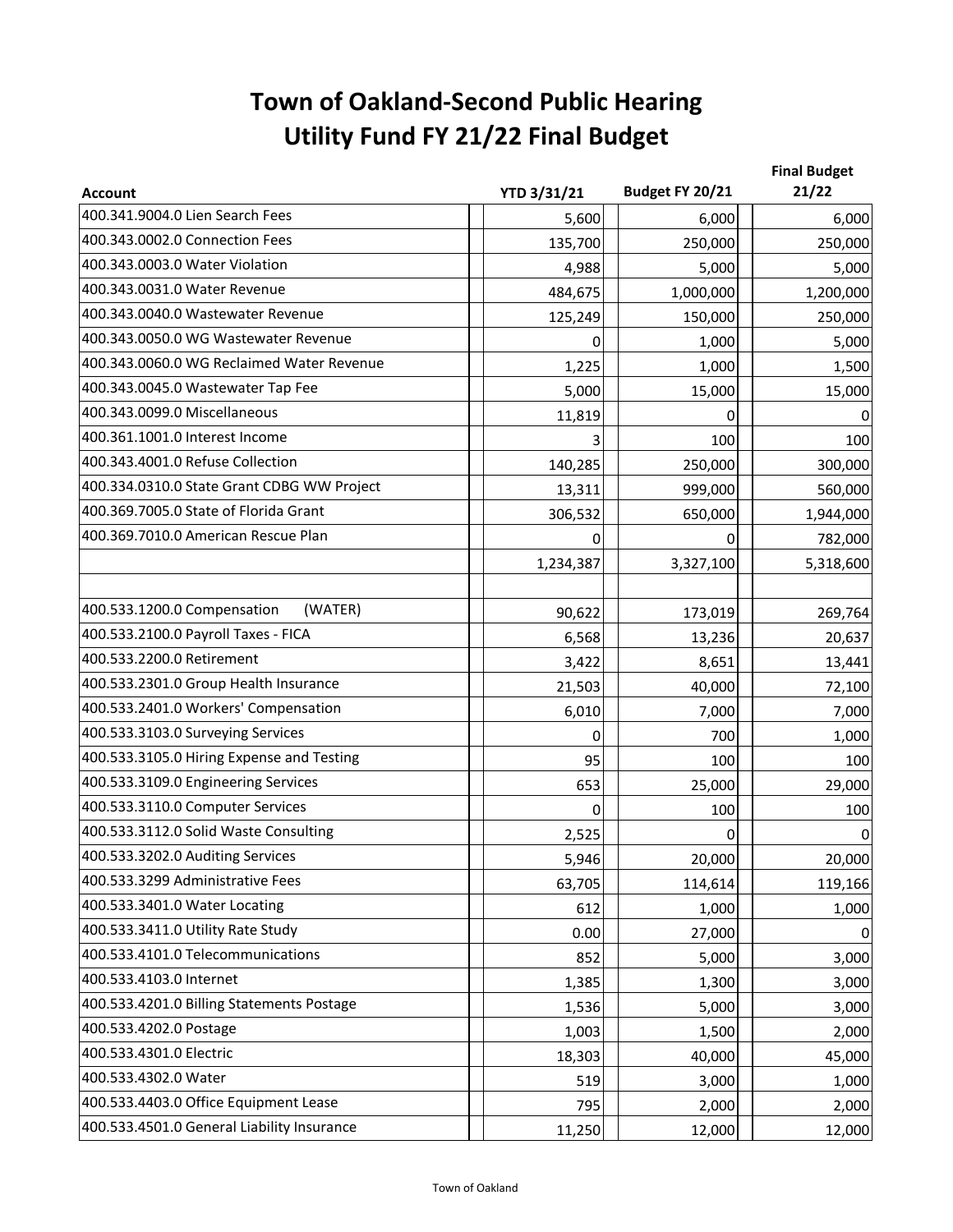## **Town of Oakland-Second Public Hearing Utility Fund FY 21/22 Final Budget**

| <b>Account</b>                             | <b>YTD 3/31/21</b> | Budget FY 20/21 | <b>Final Budget</b><br>21/22 |
|--------------------------------------------|--------------------|-----------------|------------------------------|
| 400.341.9004.0 Lien Search Fees            | 5,600              | 6,000           | 6,000                        |
| 400.343.0002.0 Connection Fees             | 135,700            | 250,000         | 250,000                      |
| 400.343.0003.0 Water Violation             | 4,988              | 5,000           | 5,000                        |
| 400.343.0031.0 Water Revenue               | 484,675            | 1,000,000       | 1,200,000                    |
| 400.343.0040.0 Wastewater Revenue          | 125,249            | 150,000         | 250,000                      |
| 400.343.0050.0 WG Wastewater Revenue       | 0                  | 1,000           | 5,000                        |
| 400.343.0060.0 WG Reclaimed Water Revenue  | 1,225              | 1,000           | 1,500                        |
| 400.343.0045.0 Wastewater Tap Fee          | 5,000              | 15,000          | 15,000                       |
| 400.343.0099.0 Miscellaneous               | 11,819             | 0               | 0                            |
| 400.361.1001.0 Interest Income             |                    | 100             | 100                          |
| 400.343.4001.0 Refuse Collection           | 140,285            | 250,000         | 300,000                      |
| 400.334.0310.0 State Grant CDBG WW Project | 13,311             | 999,000         | 560,000                      |
| 400.369.7005.0 State of Florida Grant      | 306,532            | 650,000         | 1,944,000                    |
| 400.369.7010.0 American Rescue Plan        | 0                  | 0               | 782,000                      |
|                                            | 1,234,387          | 3,327,100       | 5,318,600                    |
|                                            |                    |                 |                              |
| 400.533.1200.0 Compensation<br>(WATER)     | 90,622             | 173,019         | 269,764                      |
| 400.533.2100.0 Payroll Taxes - FICA        | 6,568              | 13,236          | 20,637                       |
| 400.533.2200.0 Retirement                  | 3,422              | 8,651           | 13,441                       |
| 400.533.2301.0 Group Health Insurance      | 21,503             | 40,000          | 72,100                       |
| 400.533.2401.0 Workers' Compensation       | 6,010              | 7,000           | 7,000                        |
| 400.533.3103.0 Surveying Services          | 0                  | 700             | 1,000                        |
| 400.533.3105.0 Hiring Expense and Testing  | 95                 | 100             | 100                          |
| 400.533.3109.0 Engineering Services        | 653                | 25,000          | 29,000                       |
| 400.533.3110.0 Computer Services           | 0                  | 100             | 100                          |
| 400.533.3112.0 Solid Waste Consulting      | 2,525              | 0               | 0                            |
| 400.533.3202.0 Auditing Services           | 5,946              | 20,000          | 20,000                       |
| 400.533.3299 Administrative Fees           | 63,705             | 114,614         | 119,166                      |
| 400.533.3401.0 Water Locating              | 612                | 1,000           | 1,000                        |
| 400.533.3411.0 Utility Rate Study          | 0.00               | 27,000          | 0                            |
| 400.533.4101.0 Telecommunications          | 852                | 5,000           | 3,000                        |
| 400.533.4103.0 Internet                    | 1,385              | 1,300           | 3,000                        |
| 400.533.4201.0 Billing Statements Postage  | 1,536              | 5,000           | 3,000                        |
| 400.533.4202.0 Postage                     | 1,003              | 1,500           | 2,000                        |
| 400.533.4301.0 Electric                    | 18,303             | 40,000          | 45,000                       |
| 400.533.4302.0 Water                       | 519                | 3,000           | 1,000                        |
| 400.533.4403.0 Office Equipment Lease      | 795                | 2,000           | 2,000                        |
| 400.533.4501.0 General Liability Insurance | 11,250             | 12,000          | 12,000                       |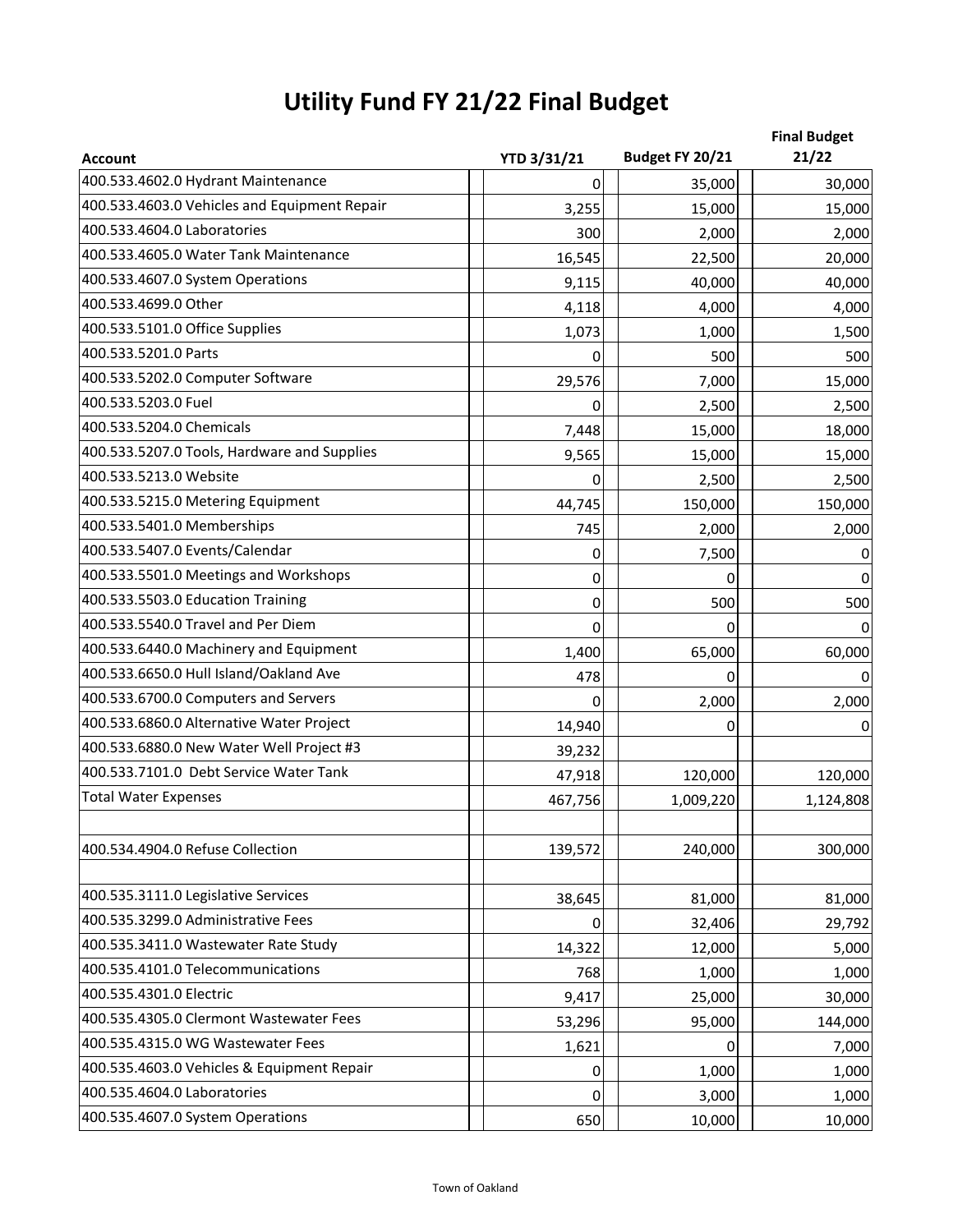# **Utility Fund FY 21/22 Final Budget**

| <b>Account</b>                               | <b>YTD 3/31/21</b> | Budget FY 20/21 | <b>Final Budget</b><br>21/22 |
|----------------------------------------------|--------------------|-----------------|------------------------------|
| 400.533.4602.0 Hydrant Maintenance           |                    |                 |                              |
| 400.533.4603.0 Vehicles and Equipment Repair | 0                  | 35,000          | 30,000                       |
| 400.533.4604.0 Laboratories                  | 3,255              | 15,000          | 15,000                       |
| 400.533.4605.0 Water Tank Maintenance        | 300                | 2,000           | 2,000                        |
| 400.533.4607.0 System Operations             | 16,545             | 22,500          | 20,000                       |
| 400.533.4699.0 Other                         | 9,115              | 40,000          | 40,000                       |
|                                              | 4,118              | 4,000           | 4,000                        |
| 400.533.5101.0 Office Supplies               | 1,073              | 1,000           | 1,500                        |
| 400.533.5201.0 Parts                         | 0                  | 500             | 500                          |
| 400.533.5202.0 Computer Software             | 29,576             | 7,000           | 15,000                       |
| 400.533.5203.0 Fuel                          | 0                  | 2,500           | 2,500                        |
| 400.533.5204.0 Chemicals                     | 7,448              | 15,000          | 18,000                       |
| 400.533.5207.0 Tools, Hardware and Supplies  | 9,565              | 15,000          | 15,000                       |
| 400.533.5213.0 Website                       | 0                  | 2,500           | 2,500                        |
| 400.533.5215.0 Metering Equipment            | 44,745             | 150,000         | 150,000                      |
| 400.533.5401.0 Memberships                   | 745                | 2,000           | 2,000                        |
| 400.533.5407.0 Events/Calendar               | 0                  | 7,500           | 0                            |
| 400.533.5501.0 Meetings and Workshops        | 0                  | 0               | $\pmb{0}$                    |
| 400.533.5503.0 Education Training            | $\mathbf 0$        | 500             | 500                          |
| 400.533.5540.0 Travel and Per Diem           | $\Omega$           | 0               | $\mathbf 0$                  |
| 400.533.6440.0 Machinery and Equipment       | 1,400              | 65,000          | 60,000                       |
| 400.533.6650.0 Hull Island/Oakland Ave       | 478                | 0               | 0                            |
| 400.533.6700.0 Computers and Servers         | 0                  | 2,000           | 2,000                        |
| 400.533.6860.0 Alternative Water Project     | 14,940             | 0               | $\pmb{0}$                    |
| 400.533.6880.0 New Water Well Project #3     | 39,232             |                 |                              |
| 400.533.7101.0 Debt Service Water Tank       | 47,918             | 120,000         | 120,000                      |
| <b>Total Water Expenses</b>                  | 467,756            | 1,009,220       | 1,124,808                    |
| 400.534.4904.0 Refuse Collection             | 139,572            | 240,000         | 300,000                      |
| 400.535.3111.0 Legislative Services          |                    |                 |                              |
| 400.535.3299.0 Administrative Fees           | 38,645             | 81,000          | 81,000                       |
| 400.535.3411.0 Wastewater Rate Study         | 0                  | 32,406          | 29,792                       |
| 400.535.4101.0 Telecommunications            | 14,322             | 12,000          | 5,000                        |
|                                              | 768                | 1,000           | 1,000                        |
| 400.535.4301.0 Electric                      | 9,417              | 25,000          | 30,000                       |
| 400.535.4305.0 Clermont Wastewater Fees      | 53,296             | 95,000          | 144,000                      |
| 400.535.4315.0 WG Wastewater Fees            | 1,621              | 0               | 7,000                        |
| 400.535.4603.0 Vehicles & Equipment Repair   | 0                  | 1,000           | 1,000                        |
| 400.535.4604.0 Laboratories                  | 0                  | 3,000           | 1,000                        |
| 400.535.4607.0 System Operations             | 650                | 10,000          | 10,000                       |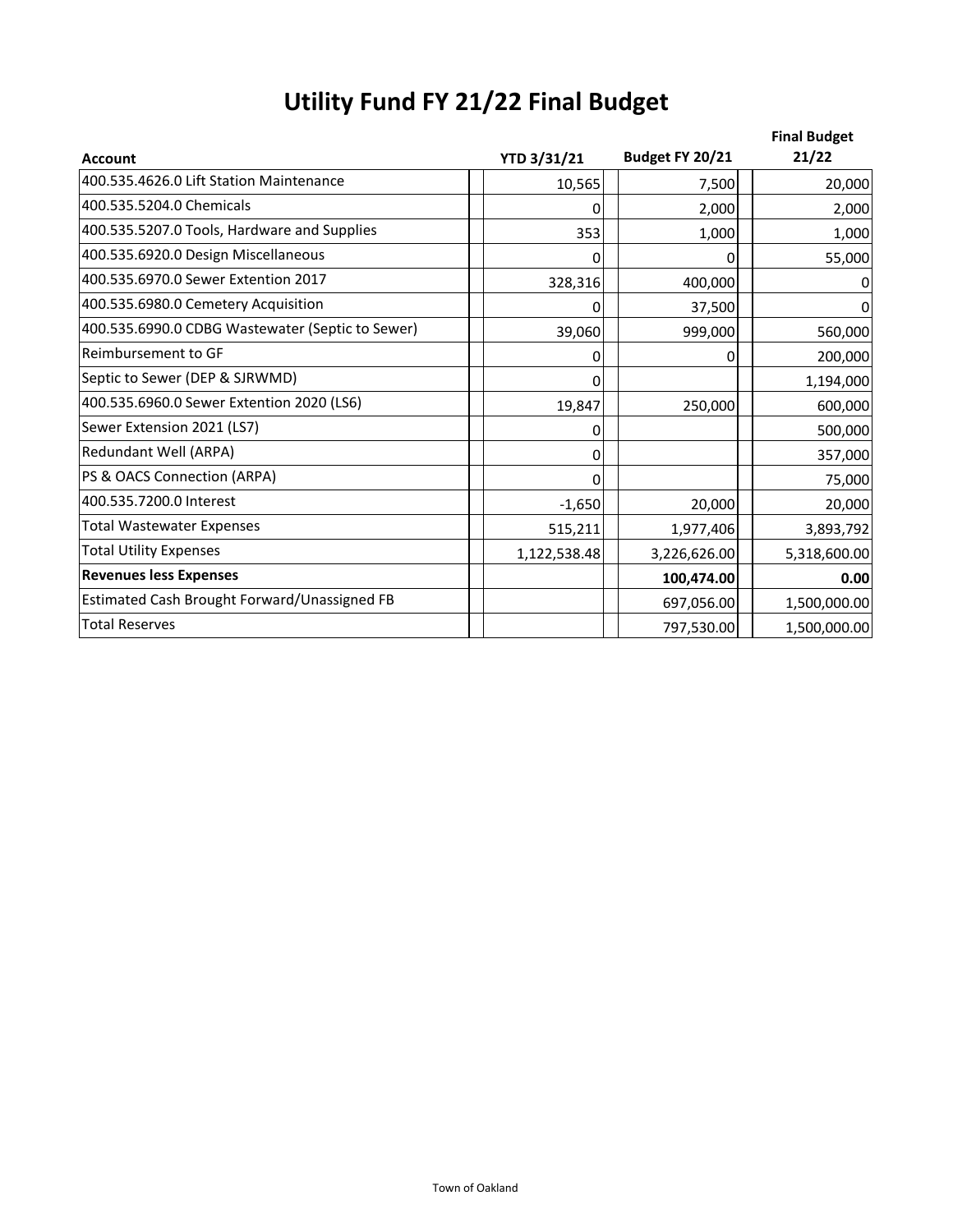| <b>Utility Fund FY 21/22 Final Budget</b> |  |  |  |  |
|-------------------------------------------|--|--|--|--|
|-------------------------------------------|--|--|--|--|

|                                                  |                    |                 | <b>Final Budget</b> |
|--------------------------------------------------|--------------------|-----------------|---------------------|
| <b>Account</b>                                   | <b>YTD 3/31/21</b> | Budget FY 20/21 | 21/22               |
| 400.535.4626.0 Lift Station Maintenance          | 10,565             | 7,500           | 20,000              |
| 400.535.5204.0 Chemicals                         | n                  | 2,000           | 2,000               |
| 400.535.5207.0 Tools, Hardware and Supplies      | 353                | 1,000           | 1,000               |
| 400.535.6920.0 Design Miscellaneous              | $\Omega$           | 0               | 55,000              |
| 400.535.6970.0 Sewer Extention 2017              | 328,316            | 400,000         | 0                   |
| 400.535.6980.0 Cemetery Acquisition              | 0                  | 37,500          | 0                   |
| 400.535.6990.0 CDBG Wastewater (Septic to Sewer) | 39,060             | 999,000         | 560,000             |
| Reimbursement to GF                              | 0                  | 0               | 200,000             |
| Septic to Sewer (DEP & SJRWMD)                   | O                  |                 | 1,194,000           |
| 400.535.6960.0 Sewer Extention 2020 (LS6)        | 19,847             | 250,000         | 600,000             |
| Sewer Extension 2021 (LS7)                       | 0                  |                 | 500,000             |
| Redundant Well (ARPA)                            | 0                  |                 | 357,000             |
| PS & OACS Connection (ARPA)                      | O                  |                 | 75,000              |
| 400.535.7200.0 Interest                          | $-1,650$           | 20,000          | 20,000              |
| <b>Total Wastewater Expenses</b>                 | 515,211            | 1,977,406       | 3,893,792           |
| <b>Total Utility Expenses</b>                    | 1,122,538.48       | 3,226,626.00    | 5,318,600.00        |
| <b>Revenues less Expenses</b>                    |                    | 100,474.00      | 0.00                |
| Estimated Cash Brought Forward/Unassigned FB     |                    | 697,056.00      | 1,500,000.00        |
| <b>Total Reserves</b>                            |                    | 797,530.00      | 1,500,000.00        |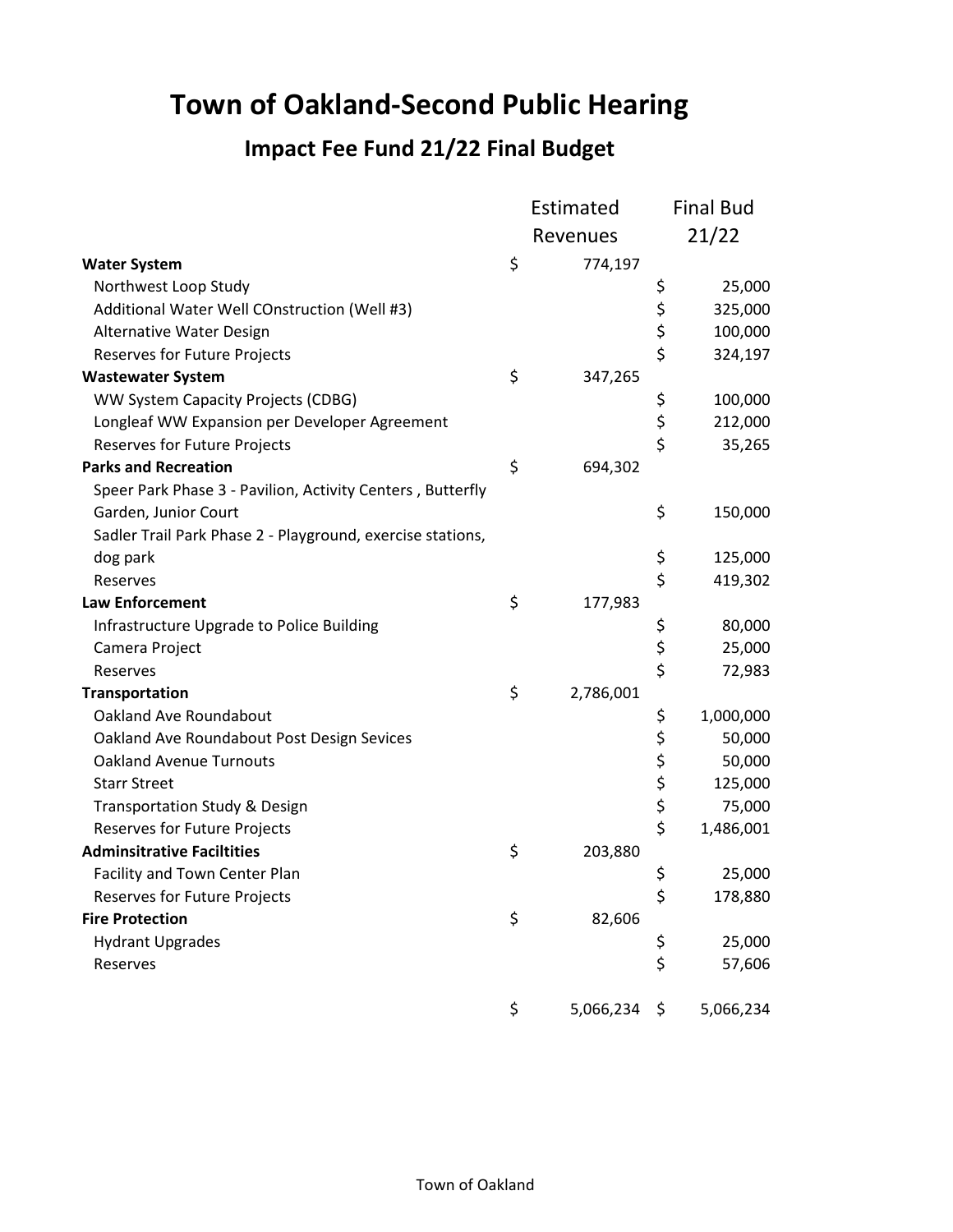## **Town of Oakland-Second Public Hearing**

#### **Impact Fee Fund 21/22 Final Budget**

|                                                            | Estimated       |             | <b>Final Bud</b> |
|------------------------------------------------------------|-----------------|-------------|------------------|
|                                                            | Revenues        |             | 21/22            |
| <b>Water System</b>                                        | \$<br>774,197   |             |                  |
| Northwest Loop Study                                       |                 | \$          | 25,000           |
| Additional Water Well COnstruction (Well #3)               |                 |             | 325,000          |
| Alternative Water Design                                   |                 | \$<br>\$    | 100,000          |
| Reserves for Future Projects                               |                 | \$          | 324,197          |
| <b>Wastewater System</b>                                   | \$<br>347,265   |             |                  |
| WW System Capacity Projects (CDBG)                         |                 | \$          | 100,000          |
| Longleaf WW Expansion per Developer Agreement              |                 | \$          | 212,000          |
| Reserves for Future Projects                               |                 | \$          | 35,265           |
| <b>Parks and Recreation</b>                                | \$<br>694,302   |             |                  |
| Speer Park Phase 3 - Pavilion, Activity Centers, Butterfly |                 |             |                  |
| Garden, Junior Court                                       |                 | \$          | 150,000          |
| Sadler Trail Park Phase 2 - Playground, exercise stations, |                 |             |                  |
| dog park                                                   |                 | \$          | 125,000          |
| Reserves                                                   |                 | \$          | 419,302          |
| <b>Law Enforcement</b>                                     | \$<br>177,983   |             |                  |
| Infrastructure Upgrade to Police Building                  |                 | \$          | 80,000           |
| Camera Project                                             |                 | \$          | 25,000           |
| Reserves                                                   |                 | \$          | 72,983           |
| Transportation                                             | \$<br>2,786,001 |             |                  |
| Oakland Ave Roundabout                                     |                 | \$          | 1,000,000        |
| Oakland Ave Roundabout Post Design Sevices                 |                 |             | 50,000           |
| <b>Oakland Avenue Turnouts</b>                             |                 |             | 50,000           |
| <b>Starr Street</b>                                        |                 | \$ \$ \$ \$ | 125,000          |
| <b>Transportation Study &amp; Design</b>                   |                 |             | 75,000           |
| <b>Reserves for Future Projects</b>                        |                 | \$          | 1,486,001        |
| <b>Adminsitrative Faciltities</b>                          | \$<br>203,880   |             |                  |
| Facility and Town Center Plan                              |                 | \$          | 25,000           |
| Reserves for Future Projects                               |                 | \$          | 178,880          |
| <b>Fire Protection</b>                                     | \$<br>82,606    |             |                  |
| <b>Hydrant Upgrades</b>                                    |                 | \$          | 25,000           |
| Reserves                                                   |                 | \$          | 57,606           |
|                                                            | \$<br>5,066,234 | \$          | 5,066,234        |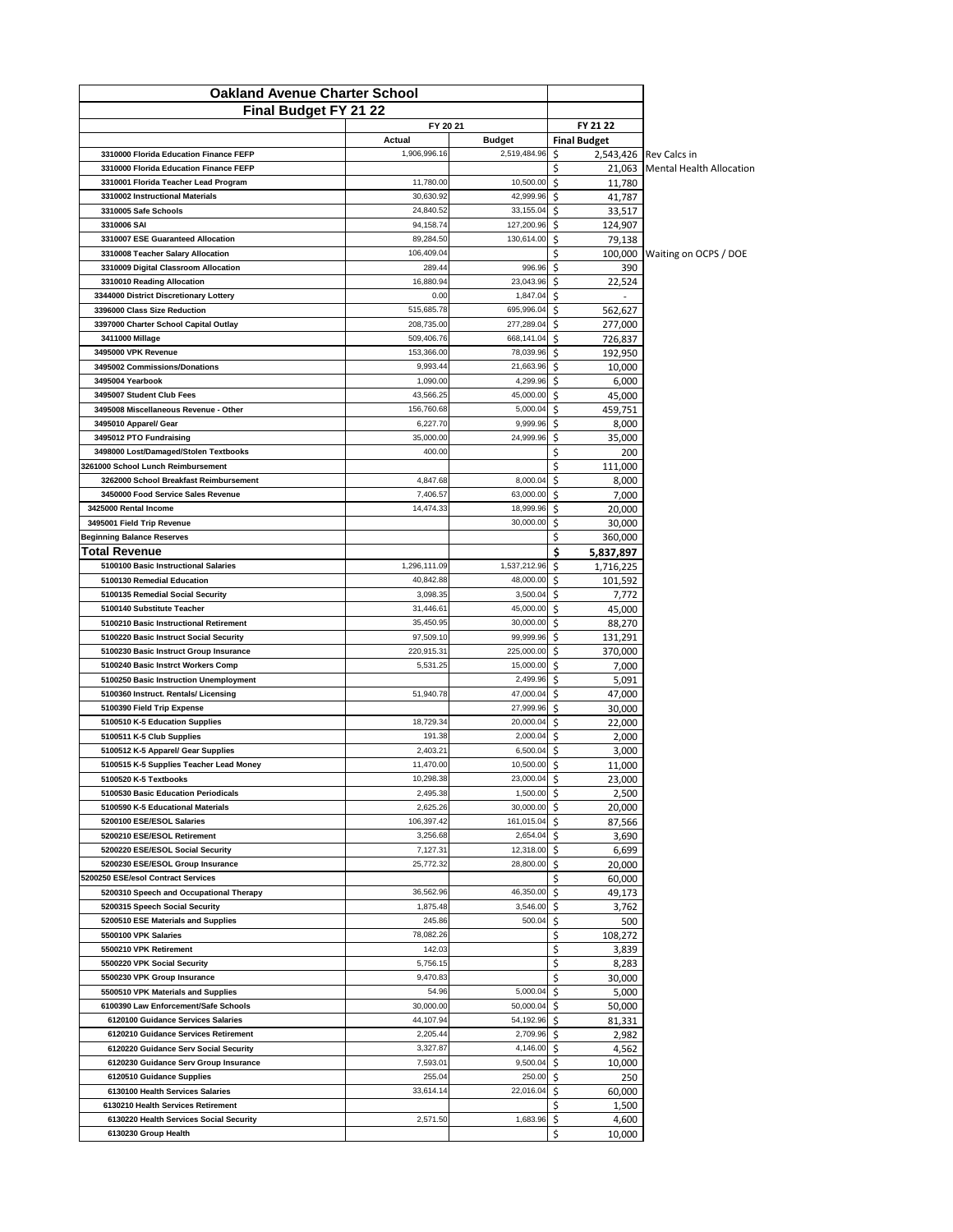| <b>Oakland Avenue Charter School</b>                                             |                          |                          |                             |                                                           |
|----------------------------------------------------------------------------------|--------------------------|--------------------------|-----------------------------|-----------------------------------------------------------|
| Final Budget FY 21 22                                                            |                          |                          |                             |                                                           |
|                                                                                  | FY 20 21                 |                          | FY 21 22                    |                                                           |
|                                                                                  | Actual                   | Budget                   | <b>Final Budget</b>         |                                                           |
| 3310000 Florida Education Finance FEFP<br>3310000 Florida Education Finance FEFP | 1,906,996.16             | 2,519,484.96             | \$<br>Ś                     | 2,543,426 Rev Calcs in<br>21,063 Mental Health Allocation |
| 3310001 Florida Teacher Lead Program                                             | 11,780.00                | 10,500.00                | Ś<br>11,780                 |                                                           |
| 3310002 Instructional Materials                                                  | 30,630.92                | 42,999.96                | Ŝ<br>41,787                 |                                                           |
| 3310005 Safe Schools                                                             | 24,840.52                | 33,155.04                | Ś.<br>33,517                |                                                           |
| 3310006 SAI                                                                      | 94,158.74                | 127,200.96               | \$<br>124,907               |                                                           |
| 3310007 ESE Guaranteed Allocation                                                | 89,284.50                | 130,614.00               | Ś.<br>79,138                |                                                           |
| 3310008 Teacher Salary Allocation                                                | 106.409.04               |                          | \$                          | 100,000 Waiting on OCPS / DOE                             |
| 3310009 Digital Classroom Allocation                                             | 289.44                   | 996.96                   | Ś<br>390                    |                                                           |
| 3310010 Reading Allocation                                                       | 16,880.94                | 23,043.96                | Ś.<br>22,524                |                                                           |
| 3344000 District Discretionary Lottery                                           | 0.00                     | 1,847.04                 | Ŝ                           |                                                           |
| 3396000 Class Size Reduction                                                     | 515,685.78               | 695,996.04               | Ś<br>562,627                |                                                           |
| 3397000 Charter School Capital Outlay                                            | 208,735.00<br>509,406.76 | 277,289.04<br>668,141.04 | Ś<br>277,000<br>Ś.          |                                                           |
| 3411000 Millage<br>3495000 VPK Revenue                                           | 153,366.00               | 78,039.96                | 726,837<br>Ś<br>192,950     |                                                           |
| 3495002 Commissions/Donations                                                    | 9,993.44                 | 21,663.96                | Ś<br>10,000                 |                                                           |
| 3495004 Yearbook                                                                 | 1,090.00                 | 4,299.96                 | Ŝ<br>6,000                  |                                                           |
| 3495007 Student Club Fees                                                        | 43.566.25                | 45,000.00                | \$<br>45,000                |                                                           |
| 3495008 Miscellaneous Revenue - Other                                            | 156.760.68               | 5,000.04                 | \$<br>459,751               |                                                           |
| 3495010 Apparel/ Gear                                                            | 6,227.70                 | 9,999.96                 | \$<br>8,000                 |                                                           |
| 3495012 PTO Fundraising                                                          | 35,000.00                | 24,999.96                | \$<br>35.000                |                                                           |
| 3498000 Lost/Damaged/Stolen Textbooks                                            | 400.00                   |                          | \$<br>200                   |                                                           |
| 3261000 School Lunch Reimbursement                                               |                          |                          | \$<br>111,000               |                                                           |
| 3262000 School Breakfast Reimbursement                                           | 4,847.68                 | 8,000.04                 | \$<br>8,000                 |                                                           |
| 3450000 Food Service Sales Revenue                                               | 7,406.57                 | 63,000.00                | Ŝ<br>7,000                  |                                                           |
| 3425000 Rental Income                                                            | 14,474.33                | 18,999.96<br>30,000.00   | Ś.<br>20,000<br>Ś.          |                                                           |
| 3495001 Field Trip Revenue<br><b>Beginning Balance Reserves</b>                  |                          |                          | 30,000<br>\$<br>360,000     |                                                           |
| Total Revenue                                                                    |                          |                          | \$<br>5,837,897             |                                                           |
| 5100100 Basic Instructional Salaries                                             | 1,296,111.09             | 1,537,212.96             | Ś.<br>1,716,225             |                                                           |
| 5100130 Remedial Education                                                       | 40,842.88                | 48,000.00                | Ŝ<br>101,592                |                                                           |
| 5100135 Remedial Social Security                                                 | 3,098.35                 | 3,500.04                 | ς.<br>7,772                 |                                                           |
| 5100140 Substitute Teacher                                                       | 31,446.61                | 45,000.00                | Ś<br>45,000                 |                                                           |
| 5100210 Basic Instructional Retirement                                           | 35,450.95                | 30,000.00                | Ś<br>88,270                 |                                                           |
| 5100220 Basic Instruct Social Security                                           | 97,509.10                | 99,999.96                | \$<br>131,291               |                                                           |
| 5100230 Basic Instruct Group Insurance                                           | 220,915.31               | 225,000.00               | Ś<br>370,000                |                                                           |
| 5100240 Basic Instrct Workers Comp                                               | 5,531.25                 | 15,000.00                | \$<br>7,000                 |                                                           |
| 5100250 Basic Instruction Unemployment<br>5100360 Instruct. Rentals/ Licensing   | 51,940.78                | 2,499.96<br>47,000.04    | 5,091<br>Ś<br>47,000<br>\$  |                                                           |
| 5100390 Field Trip Expense                                                       |                          | 27,999.96                | \$<br>30,000                |                                                           |
| 5100510 K-5 Education Supplies                                                   | 18,729.34                | 20,000.04                | Ś.<br>22,000                |                                                           |
| 5100511 K-5 Club Supplies                                                        | 191.38                   | 2,000.04                 | \$<br>2,000                 |                                                           |
| 5100512 K-5 Apparel/ Gear Supplies                                               | 2,403.21                 | 6,500.04                 | Ś<br>3,000                  |                                                           |
| 5100515 K-5 Supplies Teacher Lead Money                                          | 11,470.00                | 10,500.00                | \$<br>11,000                |                                                           |
| 5100520 K-5 Textbooks                                                            | 10,298.38                | 23,000.04                | Ś<br>23.000                 |                                                           |
| 5100530 Basic Education Periodicals                                              | 2,495.38                 | 1,500.00                 | \$<br>2,500                 |                                                           |
| 5100590 K-5 Educational Materials                                                | 2,625.26                 | 30,000.00                | Ś<br>20,000                 |                                                           |
| 5200100 ESE/ESOL Salaries                                                        | 106,397.42               | 161,015.04               | Ś.<br>87,566                |                                                           |
| 5200210 ESE/ESOL Retirement<br>5200220 ESE/ESOL Social Security                  | 3,256.68<br>7,127.31     | 2,654.04<br>12,318.00    | Ś.<br>3,690<br>\$           |                                                           |
| 5200230 ESE/ESOL Group Insurance                                                 | 25,772.32                | 28,800.00                | 6,699<br>\$<br>20,000       |                                                           |
| 5200250 ESE/esol Contract Services                                               |                          |                          | \$<br>60,000                |                                                           |
| 5200310 Speech and Occupational Therapy                                          | 36,562.96                | 46,350.00                | Ś<br>49,173                 |                                                           |
| 5200315 Speech Social Security                                                   | 1,875.48                 | 3,546.00                 | Ś.<br>3,762                 |                                                           |
| 5200510 ESE Materials and Supplies                                               | 245.86                   | 500.04                   | Ś.<br>500                   |                                                           |
| 5500100 VPK Salaries                                                             | 78,082.26                |                          | Ś<br>108,272                |                                                           |
| 5500210 VPK Retirement                                                           | 142.03                   |                          | \$<br>3,839                 |                                                           |
| 5500220 VPK Social Security                                                      | 5,756.15                 |                          | \$<br>8,283                 |                                                           |
| 5500230 VPK Group Insurance                                                      | 9,470.83                 |                          | \$<br>30,000                |                                                           |
| 5500510 VPK Materials and Supplies<br>6100390 Law Enforcement/Safe Schools       | 54.96<br>30,000.00       | 5,000.04<br>50,000.04    | \$<br>5,000<br>Ś.<br>50,000 |                                                           |
| 6120100 Guidance Services Salaries                                               | 44,107.94                | 54,192.96                | \$<br>81,331                |                                                           |
| 6120210 Guidance Services Retirement                                             | 2,205.44                 | 2,709.96                 | 2,982<br>\$                 |                                                           |
| 6120220 Guidance Serv Social Security                                            | 3,327.87                 | 4,146.00                 | \$<br>4,562                 |                                                           |
| 6120230 Guidance Serv Group Insurance                                            | 7,593.01                 | 9,500.04                 | Ś.<br>10,000                |                                                           |
| 6120510 Guidance Supplies                                                        | 255.04                   | 250.00                   | \$<br>250                   |                                                           |
| 6130100 Health Services Salaries                                                 | 33,614.14                | 22,016.04                | \$<br>60,000                |                                                           |
| 6130210 Health Services Retirement                                               |                          |                          | Ś<br>1,500                  |                                                           |
| 6130220 Health Services Social Security                                          | 2,571.50                 | 1,683.96                 | \$<br>4,600                 |                                                           |
| 6130230 Group Health                                                             |                          |                          | \$<br>10,000                |                                                           |